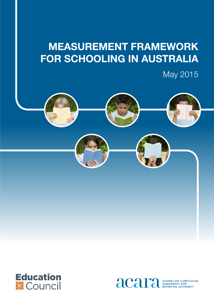# **Measurement Framework for Schooling in Australia**

May 2015





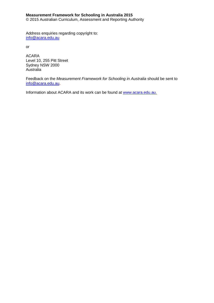#### **Measurement Framework for Schooling in Australia 2015**

© 2015 Australian Curriculum, Assessment and Reporting Authority

Address enquiries regarding copyright to: [info@acara.edu.au](mailto:info@acara.edu.au)

or

ACARA Level 10, 255 Pitt Street Sydney NSW 2000 Australia

Feedback on the *Measurement Framework for Schooling in Australia* should be sent to [info@acara.edu.au.](mailto:info@acara.edu.au)

Information about ACARA and its work can be found at [www.acara.edu.au.](http://www.acara.edu.au/)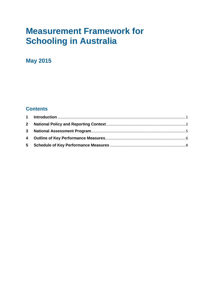## **Measurement Framework for Schooling in Australia**

## **May 2015**

## **Contents**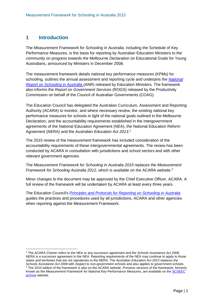### <span id="page-3-0"></span>**1 Introduction**

 $\overline{a}$ 

The *Measurement Framework for Schooling in Australia,* including the Schedule of Key Performance Measures, is the basis for reporting by Australian Education Ministers to the community on progress towards the Melbourne Declaration on Educational Goals for Young Australians, announced by Ministers in December 2008.

The measurement framework details national key performance measures (KPMs) for schooling, outlines the annual assessment and reporting cycle and underpins the *[National](http://www.acara.edu.au/reporting/reporting.html)  [Report on Schooling in Australia](http://www.acara.edu.au/reporting/reporting.html)* (ANR) released by Education Ministers*.* The framework also informs the *Report on Government Services* (ROGS) released by the Productivity Commission on behalf of the Council of Australian Governments (COAG).

The Education Council has delegated the Australian Curriculum, Assessment and Reporting Authority (ACARA) to monitor, and where necessary review, the existing national key performance measures for schools in light of the national goals outlined in the Melbourne Declaration, and the accountability requirements established in the intergovernment agreements of the National Education Agreement (NEA), the National Education Reform Agreement (NERA) and the *Australian Education Act 2013*. [1](#page-3-1)

The 2015 review of the measurement framework has included consideration of the accountability requirements of these intergovernmental agreements. The review has been conducted by ACARA in consultation with jurisdictions and school sectors and with other relevant government agencies.

The *Measurement Framework for Schooling in Australia 2015* replaces the *Measurement Framework for Schooling Australia [2](#page-3-2)012*, which is available on the ACARA website.<sup>2</sup>

Minor changes to the document may be approved by the Chief Executive Officer, ACARA. A full review of the framework will be undertaken by ACARA at least every three years.

The Education Council's *[Principles and Protocols for Reporting on Schooling in Australia](http://scseec.edu.au/site/DefaultSite/filesystem/documents/Reports%20and%20publications/Publications/Measuring%20and%20reporting%20student%20performance/Principles%20and%20protocols%20for%20reporting%20on%20schooling%20in%20Australia.pdf)* guides the practices and procedures used by all jurisdictions, ACARA and other agencies when reporting against the Measurement Framework.

<span id="page-3-2"></span><span id="page-3-1"></span><sup>1</sup> The ACARA Charter refers to the NEA or any successor agreement and the *Schools Assistance Act 2008.*  NERA is a successor agreement to the NEA. Reporting requirements of the NEA may continue to apply to those states and territories that are not signatories to the NERA. The *Australian Education Act 2013* replaces the *Schools Assistance Act 2008* with respect to non-government schools and also applies to government schools. 2 The 2010 edition of the framework is also on the ACARA website. Previous versions of the framework, formerly known as the *Measurement Framework for National Key Performance Measures*, are available on th[e SCSEEC](http://scseec.edu.au/archive/Publications/Publications-archive.aspx)  [archive](http://scseec.edu.au/archive/Publications/Publications-archive.aspx) website.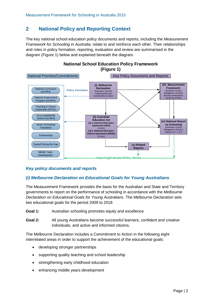## <span id="page-4-0"></span>**2 National Policy and Reporting Context**

The key national school education policy documents and reports, including the *Measurement Framework for Schooling in Australia*, relate to and reinforce each other. Their relationships and roles in policy formation, reporting, evaluation and review are summarised in the diagram (Figure 1) below and explained beneath the diagram.



## **National School Education Policy Framework**

#### *Key policy documents and reports*

#### *(i) Melbourne Declaration on Educational Goals for Young Australians*

The Measurement Framework provides the basis for the Australian and State and Territory governments to report on the performance of schooling in accordance with the *Melbourne Declaration on Educational Goals for Young Australians*. The Melbourne Declaration sets two educational goals for the period 2009 to 2018

- **Goal 1:** Australian schooling promotes equity and excellence
- **Goal 2:** All young Australians become successful learners, confident and creative individuals, and active and informed citizens.

The Melbourne Declaration includes a Commitment to Action in the following eight interrelated areas in order to support the achievement of the educational goals:

- developing stronger partnerships
- supporting quality teaching and school leadership
- strengthening early childhood education
- enhancing middle years development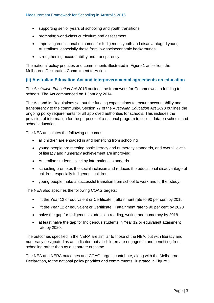- supporting senior years of schooling and youth transitions
- promoting world-class curriculum and assessment
- improving educational outcomes for Indigenous youth and disadvantaged young Australians, especially those from low socioeconomic backgrounds
- strengthening accountability and transparency.

The national policy priorities and commitments illustrated in Figure 1 arise from the Melbourne Declaration Commitment to Action.

#### **(ii) Australian Education Act and intergovernmental agreements on education**

The *Australian Education Act 2013* outlines the framework for Commonwealth funding to schools. The Act commenced on 1 January 2014.

The Act and its Regulations set out the funding expectations to ensure accountability and transparency to the community. Section 77 of the *Australian Education Act 2013* outlines the ongoing policy requirements for all approved authorities for schools. This includes the provision of information for the purposes of a national program to collect data on schools and school education.

The NEA articulates the following outcomes:

- all children are engaged in and benefiting from schooling
- young people are meeting basic literacy and numeracy standards, and overall levels of literacy and numeracy achievement are improving
- Australian students excel by international standards
- schooling promotes the social inclusion and reduces the educational disadvantage of children, especially Indigenous children
- young people make a successful transition from school to work and further study.

The NEA also specifies the following COAG targets:

- lift the Year 12 or equivalent or Certificate II attainment rate to 90 per cent by 2015
- lift the Year 12 or equivalent or Certificate III attainment rate to 90 per cent by 2020
- halve the gap for Indigenous students in reading, writing and numeracy by 2018
- at least halve the gap for Indigenous students in Year 12 or equivalent attainment rate by 2020.

The outcomes specified in the NERA are similar to those of the NEA, but with literacy and numeracy designated as an indicator that all children are engaged in and benefiting from schooling rather than as a separate outcome.

The NEA and NERA outcomes and COAG targets contribute, along with the Melbourne Declaration, to the national policy priorities and commitments illustrated in Figure 1.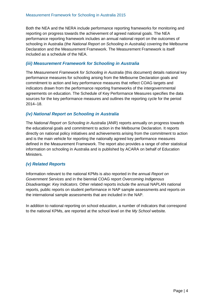Both the NEA and the NERA include performance reporting frameworks for monitoring and reporting on progress towards the achievement of agreed national goals. The NEA performance reporting framework includes an annual national report on the outcomes of schooling in Australia (the *National Report on Schooling in Australia)* covering the Melbourne Declaration and the Measurement Framework. The Measurement Framework is itself included as a schedule of the NEA.

#### *(iii) Measurement Framework for Schooling in Australia*

The *Measurement Framework for Schooling in Australia* (this document) details national key performance measures for schooling arising from the Melbourne Declaration goals and commitment to action and key performance measures that reflect COAG targets and indicators drawn from the performance reporting frameworks of the intergovernmental agreements on education. The Schedule of Key Performance Measures specifies the data sources for the key performance measures and outlines the reporting cycle for the period 2014–18.

#### *(iv) National Report on Schooling in Australia*

The *National Report on Schooling in Australia* (ANR) reports annually on progress towards the educational goals and commitment to action in the [Melbourne Declaration.](http://www.mceecdya.edu.au/verve/_resources/National_Declaration_on_the_Educational_Goals_for_Young_Australians.pdf) It reports directly on national policy initiatives and achievements arising from the commitment to action and is the main vehicle for reporting the nationally agreed key performance measures defined in the Measurement Framework. The report also provides a range of other statistical information on schooling in Australia and is published by ACARA on behalf of Education Ministers.

#### *(v) Related Reports*

Information relevant to the national KPMs is also reported in the annual *Report on Government Services* and in the biennial COAG report *Overcoming Indigenous Disadvantage: Key Indicators.* Other related reports include the annual NAPLAN national reports, public reports on student performance in NAP sample assessments and reports on the international sample assessments that are included in the NAP.

In addition to national reporting on school education, a number of indicators that correspond to the national KPMs, are reported at the school level on the *My School* website.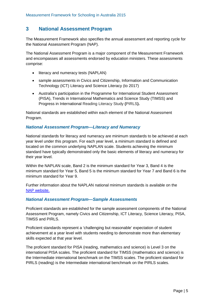#### <span id="page-7-0"></span>**3 National Assessment Program**

The Measurement Framework also specifies the annual assessment and reporting cycle for the National Assessment Program (NAP).

The National Assessment Program is a major component of the Measurement Framework and encompasses all assessments endorsed by education ministers. These assessments comprise:

- literacy and numeracy tests (NAPLAN)
- sample assessments in Civics and Citizenship, Information and Communication Technology (ICT) Literacy and Science Literacy (to 2017)
- Australia's participation in the Programme for International Student Assessment (PISA), Trends in International Mathematics and Science Study (TIMSS) and Progress in International Reading Literacy Study **(**PIRLS**).**

National standards are established within each element of the [National Assessment](http://www.nap.edu.au/)  [Program.](http://www.nap.edu.au/) 

#### *National Assessment Program—Literacy and Numeracy*

National standards for literacy and numeracy are minimum standards to be achieved at each year level under this program. For each year level, a minimum standard is defined and located on the common underlying NAPLAN scale. Students achieving the minimum standard have typically demonstrated only the basic elements of literacy and numeracy for their year level.

Within the NAPLAN scale, Band 2 is the minimum standard for Year 3, Band 4 is the minimum standard for Year 5, Band 5 is the minimum standard for Year 7 and Band 6 is the minimum standard for Year 9.

Further information about the NAPLAN national minimum standards is available on the [NAP website.](http://www.nap.edu.au/)

#### *National Assessment Program—Sample Assessments*

Proficient standards are established for the sample assessment components of the National Assessment Program, namely Civics and Citizenship, ICT Literacy, Science Literacy, PISA, TIMSS and PIRLS.

Proficient standards represent a 'challenging but reasonable' expectation of student achievement at a year level with students needing to demonstrate more than elementary skills expected at that year level.

The proficient standard for PISA (reading, mathematics and science) is Level 3 on the international PISA scales. The proficient standard for TIMSS (mathematics and science) is the Intermediate international benchmark on the TIMSS scales. The proficient standard for PIRLS (reading) is the Intermediate international benchmark on the PIRLS scales.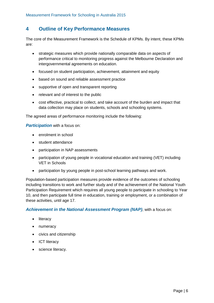#### <span id="page-8-0"></span>**4 Outline of Key Performance Measures**

The core of the Measurement Framework is the Schedule of KPMs. By intent, these KPMs are:

- strategic measures which provide nationally comparable data on aspects of performance critical to monitoring progress against the Melbourne Declaration and intergovernmental agreements on education.
- focused on student participation, achievement, attainment and equity
- based on sound and reliable assessment practice
- supportive of open and transparent reporting
- relevant and of interest to the public
- cost effective, practical to collect, and take account of the burden and impact that data collection may place on students, schools and schooling systems.

The agreed areas of performance monitoring include the following:

*Participation* with a focus on:

- enrolment in school
- student attendance
- participation in NAP assessments
- participation of young people in vocational education and training (VET) including VET in Schools
- participation by young people in post-school learning pathways and work.

Population-based participation measures provide evidence of the outcomes of schooling including transitions to work and further study and of the achievement of the National Youth Participation Requirement which requires all young people to participate in schooling to Year 10, and then participate full time in education, training or employment, or a combination of these activities, until age 17.

*Achievement in the National Assessment Program (NAP)*, with a focus on:

- literacy
- numeracy
- civics and citizenship
- ICT literacy
- science literacy.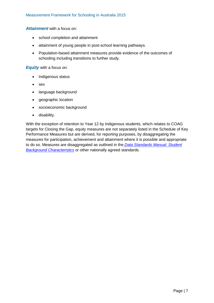*Attainment* with a focus on:

- school completion and attainment
- attainment of young people in post-school learning pathways.
- Population-based attainment measures provide evidence of the outcomes of schooling including transitions to further study.

*Equity* with a focus on:

- Indigenous status
- sex
- language background
- geographic location
- socioeconomic background
- disability.

With the exception of retention to Year 12 by Indigenous students, which relates to COAG targets for Closing the Gap, equity measures are not separately listed in the Schedule of Key Performance Measures but are derived, for reporting purposes, by disaggregating the measures for participation, achievement and attainment where it is possible and appropriate to do so. Measures are disaggregated as outlined in the *[Data Standards Manual: Student](http://www.acara.edu.au/reporting/data_standards_manual_student_background_characte.html)  [Background Characteristics](http://www.acara.edu.au/reporting/data_standards_manual_student_background_characte.html)* or other nationally agreed standards.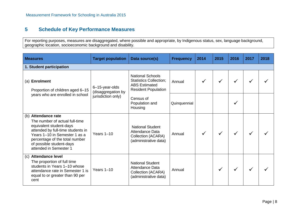## **5 Schedule of Key Performance Measures**

For reporting purposes, measures are disaggregated, where possible and appropriate, by Indigenous status, sex, language background, geographic location, socioeconomic background and disability.

<span id="page-10-0"></span>

| <b>Measures</b>                                                                                                                                                                                                                                | <b>Target population</b>                                   | Data source(s)                                                                                                 | <b>Frequency</b> | 2014 | 2015         | 2016 | 2017 | 2018 |  |
|------------------------------------------------------------------------------------------------------------------------------------------------------------------------------------------------------------------------------------------------|------------------------------------------------------------|----------------------------------------------------------------------------------------------------------------|------------------|------|--------------|------|------|------|--|
| 1. Student participation                                                                                                                                                                                                                       |                                                            |                                                                                                                |                  |      |              |      |      |      |  |
| (a) Enrolment<br>Proportion of children aged 6-15<br>years who are enrolled in school                                                                                                                                                          | 6-15-year-olds<br>(disaggregation by<br>jurisdiction only) | <b>National Schools</b><br><b>Statistics Collection;</b><br><b>ABS Estimated</b><br><b>Resident Population</b> | Annual           |      |              |      |      |      |  |
|                                                                                                                                                                                                                                                |                                                            | Census of<br>Population and<br>Housing                                                                         | Quinquennial     |      |              |      |      |      |  |
| (b) Attendance rate<br>The number of actual full-time<br>equivalent student-days<br>attended by full-time students in<br>Years 1-10 in Semester 1 as a<br>percentage of the total number<br>of possible student-days<br>attended in Semester 1 | Years $1-10$                                               | <b>National Student</b><br><b>Attendance Data</b><br>Collection (ACARA)<br>(administrative data)               | Annual           |      |              |      |      |      |  |
| <b>Attendance level</b><br>(C)<br>The proportion of full time<br>students in Years 1-10 whose<br>attendance rate in Semester 1 is<br>equal to or greater than 90 per<br>cent                                                                   | Years $1-10$                                               | <b>National Student</b><br><b>Attendance Data</b><br>Collection (ACARA)<br>(administrative data)               | Annual           |      | $\checkmark$ |      |      |      |  |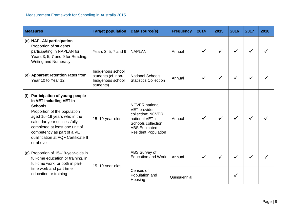| <b>Measures</b>                                                                                                                                                                                                                                                                                    | <b>Target population</b>                                                  | Data source(s)                                                                                                                                             | <b>Frequency</b> | 2014 | 2015 | 2016 | 2017 | 2018 |
|----------------------------------------------------------------------------------------------------------------------------------------------------------------------------------------------------------------------------------------------------------------------------------------------------|---------------------------------------------------------------------------|------------------------------------------------------------------------------------------------------------------------------------------------------------|------------------|------|------|------|------|------|
| (d) NAPLAN participation<br>Proportion of students<br>participating in NAPLAN for<br>Years 3, 5, 7 and 9 for Reading,<br><b>Writing and Numeracy</b>                                                                                                                                               | Years 3, 5, 7 and 9                                                       | <b>NAPLAN</b>                                                                                                                                              | Annual           |      |      |      |      |      |
| (e) Apparent retention rates from<br>Year 10 to Year 12                                                                                                                                                                                                                                            | Indigenous school<br>students (cf. non-<br>Indigenous school<br>students) | <b>National Schools</b><br><b>Statistics Collection</b>                                                                                                    | Annual           |      |      |      |      |      |
| Participation of young people<br>(f)<br>in VET including VET in<br><b>Schools</b><br>Proportion of the population<br>aged 15-19 years who in the<br>calendar year successfully<br>completed at least one unit of<br>competency as part of a VET<br>qualification at AQF Certificate II<br>or above | 15-19-year-olds                                                           | <b>NCVER</b> national<br>VET provider<br>collection; NCVER<br>national VET in<br>Schools collection;<br><b>ABS Estimated</b><br><b>Resident Population</b> | Annual           |      |      |      |      |      |
| (g) Proportion of 15-19-year-olds in<br>full-time education or training, in<br>full-time work, or both in part-                                                                                                                                                                                    |                                                                           | ABS Survey of<br><b>Education and Work</b>                                                                                                                 | Annual           |      |      |      |      |      |
| time work and part-time<br>education or training                                                                                                                                                                                                                                                   | 15-19-year-olds                                                           | Census of<br>Population and<br>Housing                                                                                                                     | Quinquennial     |      |      |      |      |      |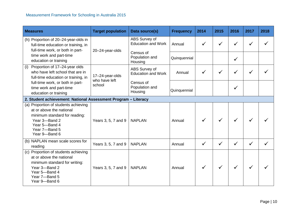| <b>Measures</b>                                                                                                                                                       | <b>Target population</b>                                       | Data source(s)                             | <b>Frequency</b> | 2014         | 2015 | 2016 | 2017         | 2018 |  |
|-----------------------------------------------------------------------------------------------------------------------------------------------------------------------|----------------------------------------------------------------|--------------------------------------------|------------------|--------------|------|------|--------------|------|--|
| (h) Proportion of 20-24-year-olds in<br>full-time education or training, in<br>full-time work, or both in part-                                                       | 20-24-year-olds                                                | ABS Survey of<br><b>Education and Work</b> | Annual           |              |      |      |              |      |  |
| time work and part-time<br>education or training                                                                                                                      |                                                                | Census of<br>Population and<br>Housing     | Quinquennial     |              |      |      |              |      |  |
| Proportion of 17-24-year olds<br>(i)<br>who have left school that are in<br>full-time education or training, in                                                       | 17-24-year-olds                                                | ABS Survey of<br><b>Education and Work</b> | Annual           |              |      |      |              |      |  |
| full-time work, or both in part-<br>time work and part-time<br>education or training                                                                                  | who have left<br>school                                        | Census of<br>Population and<br>Housing     | Quinquennial     |              |      | ✓    |              |      |  |
|                                                                                                                                                                       | 2. Student achievement: National Assessment Program - Literacy |                                            |                  |              |      |      |              |      |  |
| (a) Proportion of students achieving<br>at or above the national<br>minimum standard for reading:<br>Year 3-Band 2<br>Year 5-Band 4<br>Year 7-Band 5<br>Year 9-Band 6 | Years 3, 5, 7 and 9                                            | <b>NAPLAN</b>                              | Annual           |              |      |      |              |      |  |
| (b) NAPLAN mean scale scores for<br>reading                                                                                                                           | Years 3, 5, 7 and 9                                            | <b>NAPLAN</b>                              | Annual           | $\checkmark$ |      |      | $\checkmark$ |      |  |
| (c) Proportion of students achieving<br>at or above the national<br>minimum standard for writing:<br>Year 3-Band 2<br>Year 5-Band 4<br>Year 7-Band 5<br>Year 9-Band 6 | Years 3, 5, 7 and 9                                            | <b>NAPLAN</b>                              | Annual           |              |      |      |              |      |  |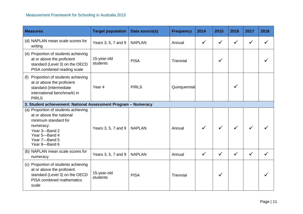| <b>Measures</b>                                                                                                                                                           | <b>Target population</b> | Data source(s) | <b>Frequency</b> | 2014         | 2015         | 2016         | 2017         | 2018 |
|---------------------------------------------------------------------------------------------------------------------------------------------------------------------------|--------------------------|----------------|------------------|--------------|--------------|--------------|--------------|------|
| (d) NAPLAN mean scale scores for<br>writing                                                                                                                               | Years 3, 5, 7 and 9      | <b>NAPLAN</b>  | Annual           | $\checkmark$ | $\checkmark$ | ✓            | $\checkmark$ |      |
| (e) Proportion of students achieving<br>at or above the proficient<br>standard (Level 3) on the OECD<br>PISA combined reading scale                                       | 15-year-old<br>students  | <b>PISA</b>    | Triennial        |              | ✓            |              |              |      |
| Proportion of students achieving<br>(f)<br>at or above the proficient<br>standard (Intermediate<br>international benchmark) in<br><b>PIRLS</b>                            | Year <sub>4</sub>        | <b>PIRLS</b>   | Quinquennial     |              |              |              |              |      |
| 3. Student achievement: National Assessment Program - Numeracy                                                                                                            |                          |                |                  |              |              |              |              |      |
| (a) Proportion of students achieving<br>at or above the national<br>minimum standard for<br>numeracy:<br>Year 3-Band 2<br>Year 5-Band 4<br>Year 7-Band 5<br>Year 9-Band 6 | Years 3, 5, 7 and 9      | <b>NAPLAN</b>  | Annual           |              |              |              |              |      |
| (b) NAPLAN mean scale scores for<br>numeracy                                                                                                                              | Years 3, 5, 7 and 9      | <b>NAPLAN</b>  | Annual           | $\checkmark$ | ✓            | $\checkmark$ | $\checkmark$ |      |
| (c) Proportion of students achieving<br>at or above the proficient<br>standard (Level 3) on the OECD<br>PISA combined mathematics<br>scale                                | 15-year-old<br>students  | <b>PISA</b>    | Triennial        |              | ✓            |              |              |      |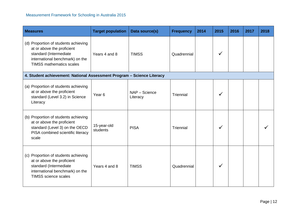| <b>Measures</b>                                                                                                                                                    | <b>Target population</b> | Data source(s)            | <b>Frequency</b> | 2014 | 2015 | 2016 | 2017 | 2018 |
|--------------------------------------------------------------------------------------------------------------------------------------------------------------------|--------------------------|---------------------------|------------------|------|------|------|------|------|
| (d) Proportion of students achieving<br>at or above the proficient<br>standard (Intermediate<br>international benchmark) on the<br><b>TIMSS mathematics scales</b> | Years 4 and 8            | <b>TIMSS</b>              | Quadrennial      |      | ✓    |      |      |      |
| 4. Student achievement: National Assessment Program - Science Literacy                                                                                             |                          |                           |                  |      |      |      |      |      |
| (a) Proportion of students achieving<br>at or above the proficient<br>standard (Level 3.2) in Science<br>Literacy                                                  | Year <sub>6</sub>        | NAP - Science<br>Literacy | Triennial        |      |      |      |      |      |
| (b) Proportion of students achieving<br>at or above the proficient<br>standard (Level 3) on the OECD<br>PISA combined scientific literacy<br>scale                 | 15-year-old<br>students  | <b>PISA</b>               | Triennial        |      | √    |      |      |      |
| (c) Proportion of students achieving<br>at or above the proficient<br>standard (Intermediate<br>international benchmark) on the<br><b>TIMSS science scales</b>     | Years 4 and 8            | <b>TIMSS</b>              | Quadrennial      |      | ✓    |      |      |      |